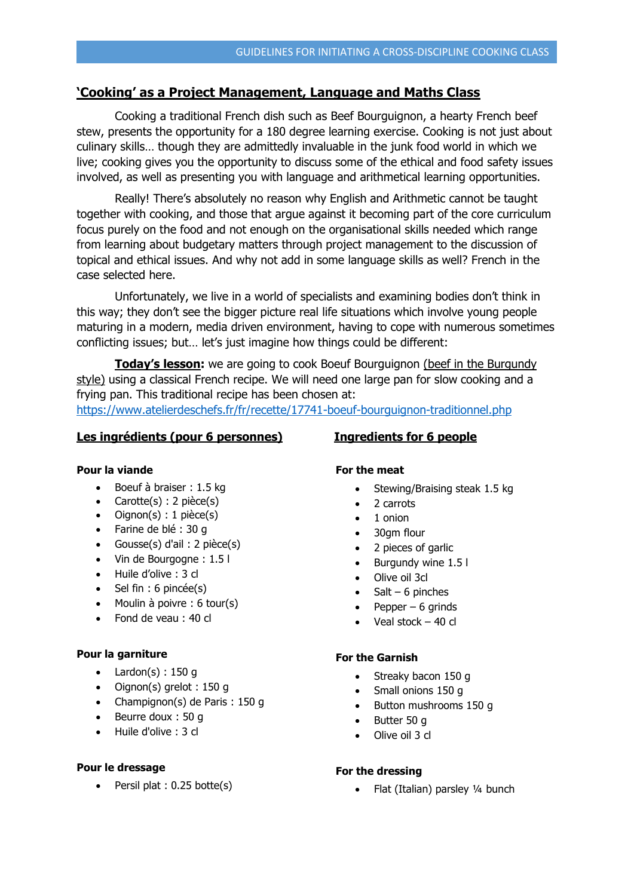# **'Cooking' as a Project Management, Language and Maths Class**

Cooking a traditional French dish such as Beef Bourguignon, a hearty French beef stew, presents the opportunity for a 180 degree learning exercise. Cooking is not just about culinary skills… though they are admittedly invaluable in the junk food world in which we live; cooking gives you the opportunity to discuss some of the ethical and food safety issues involved, as well as presenting you with language and arithmetical learning opportunities.

Really! There's absolutely no reason why English and Arithmetic cannot be taught together with cooking, and those that argue against it becoming part of the core curriculum focus purely on the food and not enough on the organisational skills needed which range from learning about budgetary matters through project management to the discussion of topical and ethical issues. And why not add in some language skills as well? French in the case selected here.

Unfortunately, we live in a world of specialists and examining bodies don't think in this way; they don't see the bigger picture real life situations which involve young people maturing in a modern, media driven environment, having to cope with numerous sometimes conflicting issues; but… let's just imagine how things could be different:

**Today's lesson:** we are going to cook Boeuf Bourguignon (beef in the Burgundy style) using a classical French recipe. We will need one large pan for slow cooking and a frying pan. This traditional recipe has been chosen at: <https://www.atelierdeschefs.fr/fr/recette/17741-boeuf-bourguignon-traditionnel.php>

# **Les ingrédients (pour 6 personnes) Ingredients for 6 people**

## **Pour la viande**

- $\bullet$  Boeuf à braiser : 1.5 kg
- Carotte $(s)$ : 2 pièce $(s)$
- $\bullet$  Oignon(s) : 1 pièce(s)
- Farine de blé : 30 g
- Gousse $(s)$  d'ail : 2 pièce $(s)$
- Vin de Bourgogne : 1.5 l
- Huile d'olive : 3 cl
- $\bullet$  Sel fin : 6 pincée(s)
- $\bullet$  Moulin à poivre : 6 tour(s)
- Fond de veau : 40 cl

## **Pour la garniture**

- $\bullet$  Lardon(s) : 150 g
- Oignon(s) grelot : 150 g
- Champignon(s) de Paris : 150 g
- $\bullet$  Beurre doux : 50 g
- Huile d'olive : 3 cl

## **Pour le dressage**

 $\bullet$  Persil plat : 0.25 botte(s)

# **For the meat**

- Stewing/Braising steak 1.5 kg
- 2 carrots
- $\bullet$  1 onion
- 30qm flour
- 2 pieces of garlic
- Burgundy wine 1.5 l
- Olive oil 3cl
- $\bullet$  Salt 6 pinches
- Pepper 6 grinds
- Veal stock 40 cl

# **For the Garnish**

- Streaky bacon 150 g
- Small onions 150 g
- Button mushrooms 150 q
- Butter 50 g
- Olive oil 3 cl

# **For the dressing**

• Flat (Italian) parsley 1/4 bunch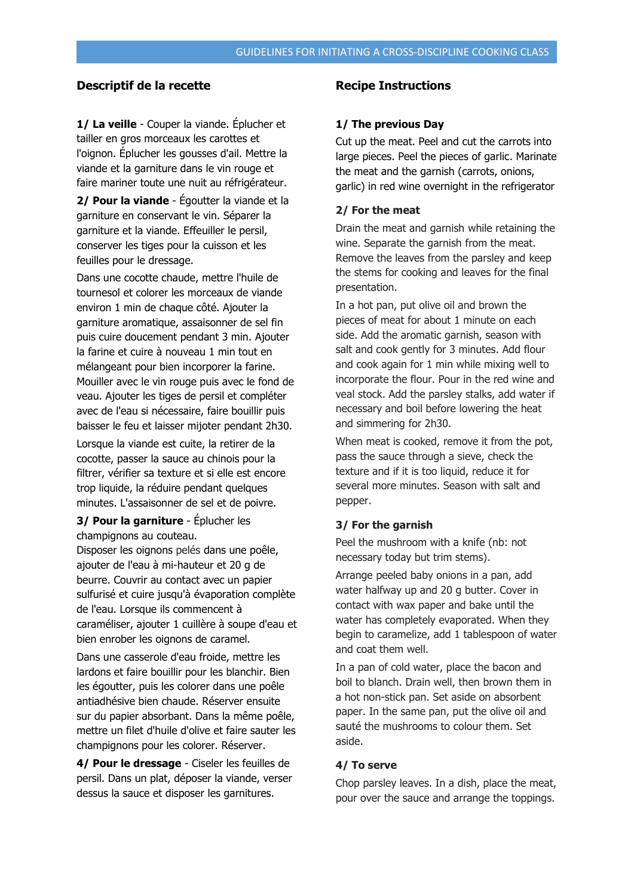# **Descriptif de la recette Recipe Instructions**

**1/ La veille** - Couper la viande. Éplucher et tailler en gros morceaux les carottes et l'oignon. Éplucher les gousses d'ail. Mettre la viande et la garniture dans le vin rouge et faire mariner toute une nuit au réfrigérateur.

**2/ Pour la viande** - Égoutter la viande et la garniture en conservant le vin. Séparer la garniture et la viande. Effeuiller le persil, conserver les tiges pour la cuisson et les feuilles pour le dressage.

Dans une cocotte chaude, mettre l'huile de tournesol et colorer les morceaux de viande environ 1 min de chaque côté. Ajouter la garniture aromatique, assaisonner de sel fin puis cuire doucement pendant 3 min. Ajouter la farine et cuire à nouveau 1 min tout en mélangeant pour bien incorporer la farine. Mouiller avec le vin rouge puis avec le fond de veau. Ajouter les tiges de persil et compléter avec de l'eau si nécessaire, faire bouillir puis baisser le feu et laisser mijoter pendant 2h30.

Lorsque la viande est cuite, la retirer de la cocotte, passer la sauce au chinois pour la filtrer, vérifier sa texture et si elle est encore trop liquide, la réduire pendant quelques minutes. L'assaisonner de sel et de poivre.

# **3/ Pour la garniture** - Éplucher les champignons au couteau.

Disposer les oignons pelés dans une poêle, ajouter de l'eau à mi-hauteur et 20 g de beurre. Couvrir au contact avec un papier sulfurisé et cuire jusqu'à évaporation complète de l'eau. Lorsque ils commencent à caraméliser, ajouter 1 cuillère à soupe d'eau et bien enrober les oignons de caramel.

Dans une casserole d'eau froide, mettre les lardons et faire bouillir pour les blanchir. Bien les égoutter, puis les colorer dans une poêle antiadhésive bien chaude. Réserver ensuite sur du papier absorbant. Dans la même poêle, mettre un filet d'huile d'olive et faire sauter les champignons pour les colorer. Réserver.

**4/ Pour le dressage** - Ciseler les feuilles de persil. Dans un plat, déposer la viande, verser dessus la sauce et disposer les garnitures.

### **1/ The previous Day**

Cut up the meat. Peel and cut the carrots into large pieces. Peel the pieces of garlic. Marinate the meat and the garnish (carrots, onions, garlic) in red wine overnight in the refrigerator

## **2/ For the meat**

Drain the meat and garnish while retaining the wine. Separate the garnish from the meat. Remove the leaves from the parsley and keep the stems for cooking and leaves for the final presentation.

In a hot pan, put olive oil and brown the pieces of meat for about 1 minute on each side. Add the aromatic garnish, season with salt and cook gently for 3 minutes. Add flour and cook again for 1 min while mixing well to incorporate the flour. Pour in the red wine and veal stock. Add the parsley stalks, add water if necessary and boil before lowering the heat and simmering for 2h30.

When meat is cooked, remove it from the pot, pass the sauce through a sieve, check the texture and if it is too liquid, reduce it for several more minutes. Season with salt and pepper.

#### **3/ For the garnish**

Peel the mushroom with a knife (nb: not necessary today but trim stems).

Arrange peeled baby onions in a pan, add water halfway up and 20 g butter. Cover in contact with wax paper and bake until the water has completely evaporated. When they begin to caramelize, add 1 tablespoon of water and coat them well.

In a pan of cold water, place the bacon and boil to blanch. Drain well, then brown them in a hot non-stick pan. Set aside on absorbent paper. In the same pan, put the olive oil and sauté the mushrooms to colour them. Set aside.

## **4/ To serve**

Chop parsley leaves. In a dish, place the meat, pour over the sauce and arrange the toppings.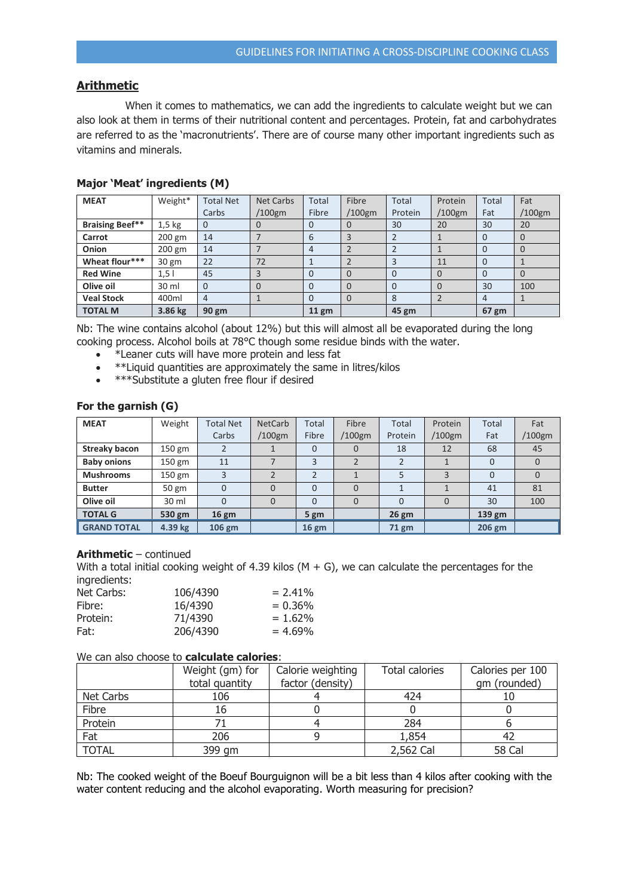# **Arithmetic**

When it comes to mathematics, we can add the ingredients to calculate weight but we can also look at them in terms of their nutritional content and percentages. Protein, fat and carbohydrates are referred to as the 'macronutrients'. There are of course many other important ingredients such as vitamins and minerals.

| <b>MEAT</b>            | Weight*          | <b>Total Net</b> | <b>Net Carbs</b> | Total    | Fibre    | Total   | Protein  | Total | Fat       |
|------------------------|------------------|------------------|------------------|----------|----------|---------|----------|-------|-----------|
|                        |                  | Carbs            | /100gm           | Fibre    | /100gm   | Protein | /100gm   | Fat   | $/100$ gm |
| <b>Braising Beef**</b> | $1,5$ kg         | 0                | 0                | 0        | 0        | 30      | 20       | 30    | 20        |
| Carrot                 | $200 \text{ gm}$ | 14               |                  | 6        | 3        |         |          |       |           |
| Onion                  | 200 gm           | 14               |                  | 4        |          |         |          |       |           |
| Wheat flour***         | 30 gm            | 22               | 72               |          |          |         | 11       | O     |           |
| <b>Red Wine</b>        | 1,5              | 45               | 3                | $\Omega$ | $\Omega$ |         | $\Omega$ |       |           |
| Olive oil              | 30 ml            | 0                | $\Omega$         | $\Omega$ | 0        |         | $\Omega$ | 30    | 100       |
| <b>Veal Stock</b>      | 400ml            | 4                |                  | 0        | $\Omega$ | 8       |          | 4     |           |
| <b>TOTAL M</b>         | 3.86 kg          | 90 gm            |                  | $11$ gm  |          | 45 gm   |          | 67 gm |           |

## **Major 'Meat' ingredients (M)**

Nb: The wine contains alcohol (about 12%) but this will almost all be evaporated during the long cooking process. Alcohol boils at 78°C though some residue binds with the water.

- \*Leaner cuts will have more protein and less fat
- \*\*Liquid quantities are approximately the same in litres/kilos
- \*\*\*\*Substitute a gluten free flour if desired

## **For the garnish (G)**

| <b>MEAT</b>        | Weight   | <b>Total Net</b> | <b>NetCarb</b> | Total    | Fibre     | Total   | Protein   | Total        | Fat    |
|--------------------|----------|------------------|----------------|----------|-----------|---------|-----------|--------------|--------|
|                    |          | Carbs            | /100gm         | Fibre    | $/100$ gm | Protein | $/100$ gm | Fat          | /100gm |
| Streaky bacon      | $150$ gm |                  |                | $\Omega$ |           | 18      | 12        | 68           | 45     |
| <b>Baby onions</b> | 150 gm   | 11               |                | 3        |           |         |           | $\mathbf{0}$ |        |
| <b>Mushrooms</b>   | 150 gm   | 3                |                |          |           |         |           | 0            |        |
| <b>Butter</b>      | 50 gm    | $\Omega$         | 0              | $\Omega$ |           |         |           | 41           | 81     |
| Olive oil          | 30 ml    | $\Omega$         | 0              | $\Omega$ |           |         |           | 30           | 100    |
| <b>TOTAL G</b>     | 530 gm   | $16 \text{ gm}$  |                | 5 gm     |           | $26$ gm |           | 139 gm       |        |
| <b>GRAND TOTAL</b> | 4.39 kg  | 106 gm           |                | $16$ gm  |           | 71 gm   |           | 206 gm       |        |

# **Arithmetic** – continued

With a total initial cooking weight of 4.39 kilos  $(M + G)$ , we can calculate the percentages for the ingredients:

| Net Carbs: | 106/4390 | $= 2.41\%$ |
|------------|----------|------------|
| Fibre:     | 16/4390  | $= 0.36\%$ |
| Protein:   | 71/4390  | $= 1.62\%$ |
| Fat:       | 206/4390 | $= 4.69\%$ |

## We can also choose to **calculate calories**:

|              | Weight (gm) for | Calorie weighting | <b>Total calories</b> | Calories per 100 |
|--------------|-----------------|-------------------|-----------------------|------------------|
|              | total quantity  | factor (density)  |                       | qm (rounded)     |
| Net Carbs    | 106             |                   | 424                   |                  |
| Fibre        | 16              |                   |                       |                  |
| Protein      |                 |                   | 284                   |                  |
| Fat          | 206             |                   | 1,854                 |                  |
| <b>TOTAL</b> | 399 gm          |                   | 2,562 Cal             | 58 Cal           |

Nb: The cooked weight of the Boeuf Bourguignon will be a bit less than 4 kilos after cooking with the water content reducing and the alcohol evaporating. Worth measuring for precision?